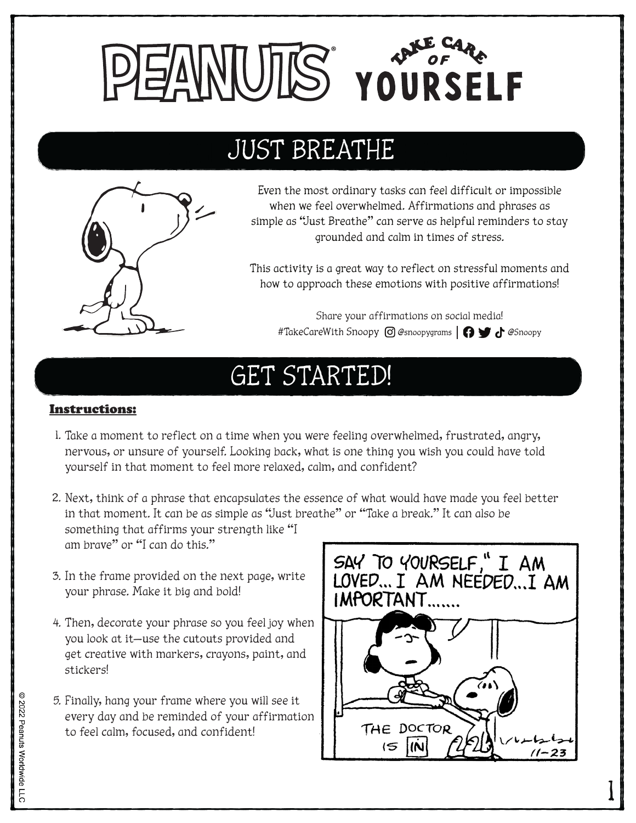

## JUST BREATHE



Even the most ordinary tasks can feel difficult or impossible when we feel overwhelmed. Affirmations and phrases as simple as "Just Breathe" can serve as helpful reminders to stay grounded and calm in times of stress.

This activity is a great way to reflect on stressful moments and how to approach these emotions with positive affirmations!

Share your affirmations on social media! #TakeCareWith Snoopy © @snoopygrams | 1 + 6Snoopy

## GET STARTED!

## Instructions:

- Take a moment to reflect on a time when you were feeling overwhelmed, frustrated, angry, 1. nervous, or unsure of yourself. Looking back, what is one thing you wish you could have told yourself in that moment to feel more relaxed, calm, and confident?
- 2. Next, think of a phrase that encapsulates the essence of what would have made you feel better in that moment. It can be as simple as "Just breathe" or "Take a break." It can also be something that affirms your strength like "I am brave" or "I can do this."
- 3. In the frame provided on the next page, write your phrase. Make it big and bold!
- 4. Then, decorate your phrase so you feel joy when you look at it—use the cutouts provided and get creative with markers, crayons, paint, and stickers!
- Finally, hang your frame where you will see it 5. every day and be reminded of your affirmation to feel calm, focused, and confident!



1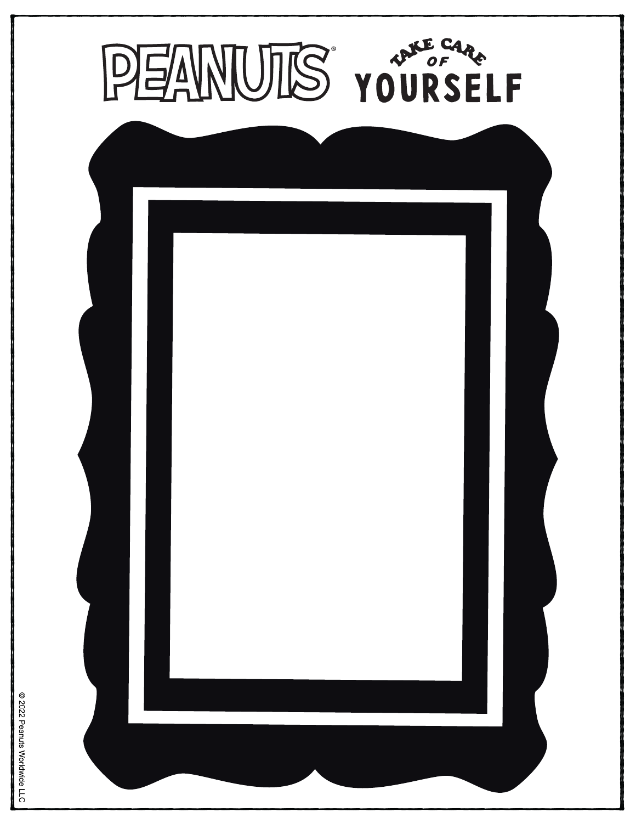

2022 Peanuts Worldwide LLC